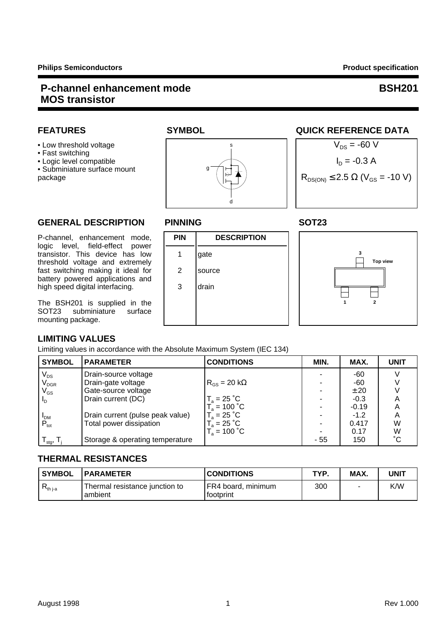### **P-channel enhancement mode** BSH201  **MOS transistor**

- Fast switching
- 

• Subminiature surface mount

## **GENERAL DESCRIPTION PINNING SOT23**

P-channel, enhancement mode, **PIN DESCRIPTION** logic level, field-effect power transistor. This device has low | 1 |gate threshold voltage and extremely fast switching making it ideal for | 2 | source battery powered applications and high speed digital interfacing. | 3 | drain

The BSH201 is supplied in the<br>SOT23 subminiature surface SOT23 subminiature mounting package.

### **LIMITING VALUES**

Limiting values in accordance with the Absolute Maximum System (IEC 134)

| <b>SYMBOL</b>             | <b>PARAMETER</b>                 | <b>CONDITIONS</b>                | MIN. | MAX.    | <b>UNIT</b> |
|---------------------------|----------------------------------|----------------------------------|------|---------|-------------|
|                           | Drain-source voltage             |                                  |      | -60     |             |
| $\frac{V_{DS}}{V_{DGR}}$  | Drain-gate voltage               | $R_{\rm{GS}}$ = 20 k $\Omega$    |      | -60     |             |
| $V_{GS}$                  | Gate-source voltage              |                                  |      | ± 20    |             |
| $\mathsf{L}_{\mathsf{D}}$ | Drain current (DC)               | $T_a = 25 \degree C$             |      | $-0.3$  |             |
|                           |                                  | $T_a^{\circ}$ = 100 $^{\circ}$ C |      | $-0.19$ |             |
|                           | Drain current (pulse peak value) | $T_a = 25 °C$                    |      | $-1.2$  | A           |
| $I_{DM}$<br>$P_{tot}$     | Total power dissipation          | $T_a = 25 °C$                    |      | 0.417   | W           |
|                           |                                  | $T_a = 100 °C$                   |      | 0.17    | W           |
| $\mathsf{I}_{\text{stg}}$ | Storage & operating temperature  |                                  | - 55 | 150     | °С          |

## **THERMAL RESISTANCES**

| <b>SYMBOL</b> | <b>IPARAMETER</b>                         | <b>CONDITIONS</b>                  | TYP. | MAX. | UNIT |
|---------------|-------------------------------------------|------------------------------------|------|------|------|
| $R_{th\,j-a}$ | Thermal resistance junction to<br>ambient | IFR4 board, minimum<br>l footprint | 300  | ٠    | K/W  |



d

s

g

# FEATURES SYMBOL SYMBOL QUICK REFERENCE DATA





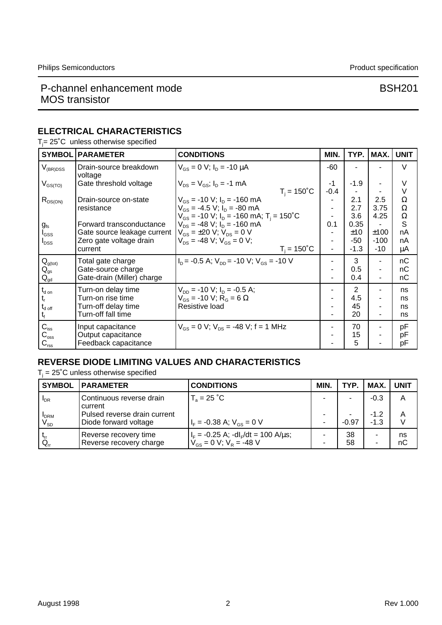### P-channel enhancement mode<br>
BSH201 MOS transistor

## **ELECTRICAL CHARACTERISTICS**

 $T_j$ = 25°C unless otherwise specified

| <b>SYMBOL</b>                | <b>PARAMETER</b>                  | <b>CONDITIONS</b>                                                      | MIN.   | TYP.           | MAX.           | <b>UNIT</b> |
|------------------------------|-----------------------------------|------------------------------------------------------------------------|--------|----------------|----------------|-------------|
| $V_{(BR)DSS}$                | Drain-source breakdown<br>voltage | $V_{GS} = 0$ V; $I_D = -10 \mu A$                                      | -60    |                |                | $\vee$      |
| $\rm V_{\rm{GS(TO)}}$        | Gate threshold voltage            | $V_{DS} = V_{GS}$ ; $I_D = -1$ mA                                      | -1     | $-1.9$         |                | V           |
|                              |                                   | $T_i = 150^{\circ}C$                                                   | $-0.4$ |                |                | V           |
| $R_{DS(ON)}$                 | Drain-source on-state             | $V_{GS}$ = -10 V; $I_D$ = -160 mA                                      |        | 2.1            | 2.5            | Ω           |
|                              | resistance                        | $V_{\text{GS}}$ = -4.5 V; $I_{\text{D}}$ = -80 mA                      |        | 2.7            | 3.75           | Ω           |
|                              |                                   | $V_{GS}$ = -10 V; $I_D$ = -160 mA; T <sub>i</sub> = 150 <sup>°</sup> C |        | 3.6            | 4.25           | Ω           |
| $g_{\rm fs}$                 | Forward transconductance          | $V_{DS}$ = -48 V; $I_D$ = -160 mA                                      | 0.1    | 0.35           |                | S           |
| $I_{GSS}$                    | Gate source leakage current       | $V_{\rm{GS}}$ = ±20 V; $V_{\rm{DS}}$ = 0 V                             |        | ±10            | ±100           | nA          |
| $I_{DSS}$                    | Zero gate voltage drain           | $V_{DS}$ = -48 V; $V_{GS}$ = 0 V;                                      | $\sim$ | $-50$          | $-100$         | nA          |
|                              | current                           | $T_i = 150^{\circ}$ C                                                  |        | $-1.3$         | $-10$          | μA          |
| $\mathbf{Q}_{g(tot)}$        | Total gate charge                 | $I_p = -0.5$ A; $V_{pp} = -10$ V; $V_{gs} = -10$ V                     |        | 3              |                | nC          |
| $Q_{gs}$                     | Gate-source charge                |                                                                        |        | 0.5            | $\sim$         | nC          |
| $\mathsf{Q}_{\mathsf{gd}}$   | Gate-drain (Miller) charge        |                                                                        |        | 0.4            | $\blacksquare$ | пC          |
| $t_{\sf d}$ on               | Turn-on delay time                | $V_{DD}$ = -10 V; $I_D$ = -0.5 A;                                      |        | $\overline{2}$ |                | ns          |
|                              | Turn-on rise time                 | $V_{GS}$ = -10 V; R <sub>G</sub> = 6 $\Omega$                          |        | 4.5            |                | ns          |
| $t_{\mathsf{d} \text{ off}}$ | Turn-off delay time               | Resistive load                                                         |        | 45             |                | ns          |
| t,                           | Turn-off fall time                |                                                                        |        | 20             |                | ns          |
| $C_{\text{iss}}$             | Input capacitance                 | $V_{GS} = 0$ V; $V_{DS} = -48$ V; f = 1 MHz                            |        | 70             | ٠              | pF          |
| $C_{\rm oss}$                | Output capacitance                |                                                                        |        | 15             |                | рF          |
| $C_{\text{rss}}$             | Feedback capacitance              |                                                                        |        | 5              |                | рF          |

### **REVERSE DIODE LIMITING VALUES AND CHARACTERISTICS**

 $T_i$  = 25°C unless otherwise specified

| <b>SYMBOL</b>                              | <b>IPARAMETER</b>                                     | <b>CONDITIONS</b>                                                                              | MIN. | TYP.     | MAX.             | <b>UNIT</b> |
|--------------------------------------------|-------------------------------------------------------|------------------------------------------------------------------------------------------------|------|----------|------------------|-------------|
| $I_{DR}$                                   | Continuous reverse drain<br>current                   | $T_a = 25 °C$                                                                                  |      |          | $-0.3$           | A           |
| <b>I</b> DRM<br>$\mathsf{V}_{\mathsf{SD}}$ | Pulsed reverse drain current<br>Diode forward voltage | $I_F = -0.38$ A; $V_{GS} = 0$ V                                                                |      | $-0.97$  | $-1.2$<br>$-1.3$ | Α<br>$\vee$ |
| $t_{rr}$<br>$Q_{\rm cr}$                   | Reverse recovery time<br>Reverse recovery charge      | $I_F = -0.25$ A; $-dI_F/dt = 100$ A/ $\mu$ s;<br>$V_{\text{GS}} = 0$ V; $V_{\text{R}} = -48$ V |      | 38<br>58 | ۰<br>۰           | ns<br>nC    |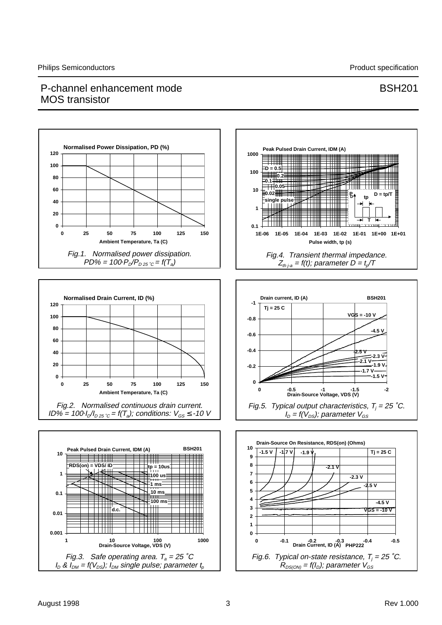### P-channel enhancement mode BSH201 MOS transistor

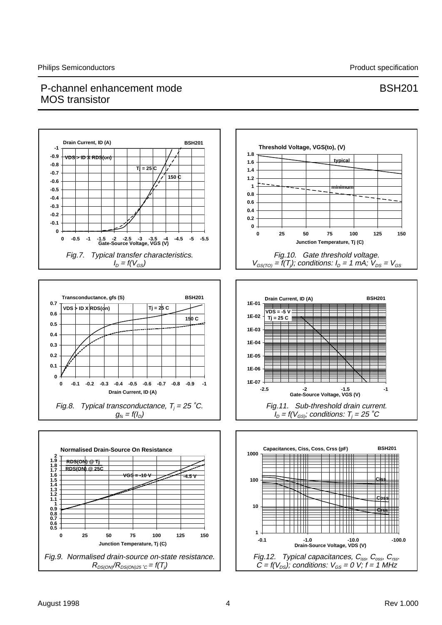## P-channel enhancement mode BSH201 MOS transistor

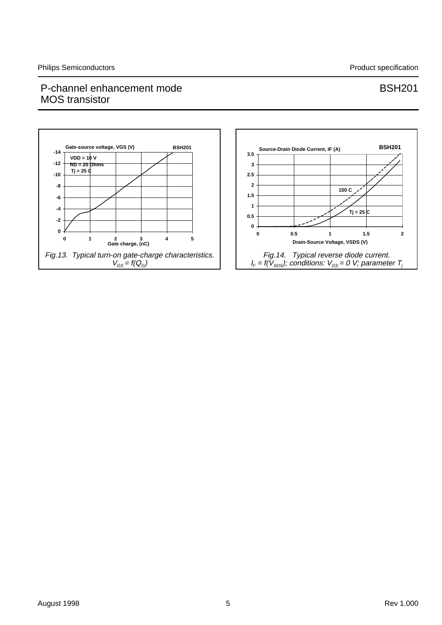### P-channel enhancement mode<br>
BSH201 MOS transistor

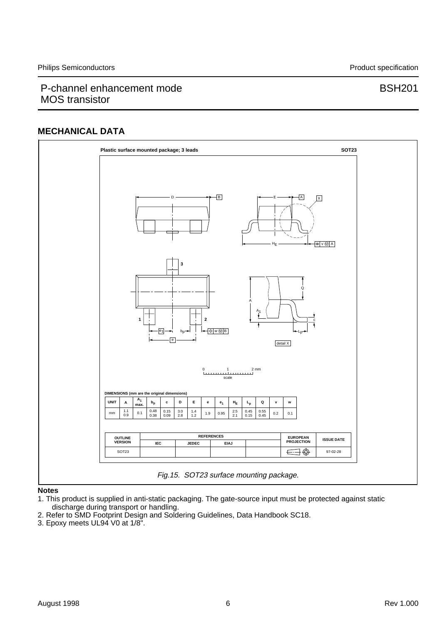### P-channel enhancement mode BSH201 MOS transistor

#### **MECHANICAL DATA**



#### **Notes**

1. This product is supplied in anti-static packaging. The gate-source input must be protected against static discharge during transport or handling.

- 2. Refer to SMD Footprint Design and Soldering Guidelines, Data Handbook SC18.
- 3. Epoxy meets UL94 V0 at 1/8".